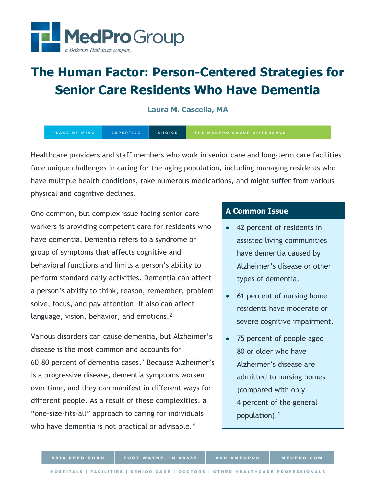

# **The Human Factor: Person-Centered Strategies for Senior Care Residents Who Have Dementia**

**Laura M. Cascella, MA**

EXPERTISE **CHOICE** PEACE OF MIND

Healthcare providers and staff members who work in senior care and long-term care facilities face unique challenges in caring for the aging population, including managing residents who have multiple health conditions, take numerous medications, and might suffer from various physical and cognitive declines.

One common, but complex issue facing senior care workers is providing competent care for residents who have dementia. Dementia refers to a syndrome or group of symptoms that affects cognitive and behavioral functions and limits a person's ability to perform standard daily activities. Dementia can affect a person's ability to think, reason, remember, problem solve, focus, and pay attention. It also can affect language, vision, behavior, and emotions.<sup>[2](#page-12-0)</sup>

Various disorders can cause dementia, but Alzheimer's disease is the most common and accounts for 60–80 percent of dementia cases.[3](#page-13-0) Because Alzheimer's is a progressive disease, dementia symptoms worsen over time, and they can manifest in different ways for different people. As a result of these complexities, a "one-size-fits-all" approach to caring for individuals who have dementia is not practical or advisable.<sup>[4](#page-13-1)</sup>

## **A Common Issue**

- 42 percent of residents in assisted living communities have dementia caused by Alzheimer's disease or other types of dementia.
- 61 percent of nursing home residents have moderate or severe cognitive impairment.
- 75 percent of people aged 80 or older who have Alzheimer's disease are admitted to nursing homes (compared with only 4 percent of the general population).[1](#page-12-1)

800-4MEDPRO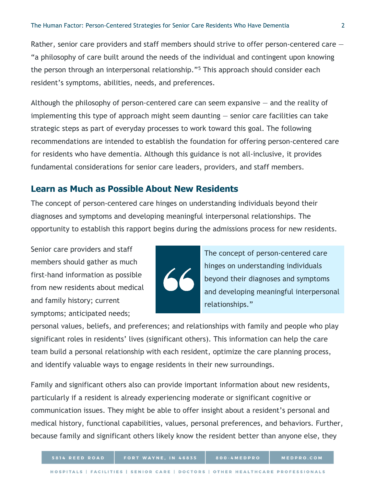Rather, senior care providers and staff members should strive to offer person-centered care – "a philosophy of care built around the needs of the individual and contingent upon knowing the person through an interpersonal relationship."[5](#page-13-2) This approach should consider each resident's symptoms, abilities, needs, and preferences.

Although the philosophy of person-centered care can seem expansive — and the reality of implementing this type of approach might seem daunting — senior care facilities can take strategic steps as part of everyday processes to work toward this goal. The following recommendations are intended to establish the foundation for offering person-centered care for residents who have dementia. Although this guidance is not all-inclusive, it provides fundamental considerations for senior care leaders, providers, and staff members.

#### **Learn as Much as Possible About New Residents**

The concept of person-centered care hinges on understanding individuals beyond their diagnoses and symptoms and developing meaningful interpersonal relationships. The opportunity to establish this rapport begins during the admissions process for new residents.

Senior care providers and staff members should gather as much first-hand information as possible from new residents about medical and family history; current symptoms; anticipated needs;



The concept of person-centered care hinges on understanding individuals beyond their diagnoses and symptoms and developing meaningful interpersonal relationships."

personal values, beliefs, and preferences; and relationships with family and people who play significant roles in residents' lives (significant others). This information can help the care team build a personal relationship with each resident, optimize the care planning process, and identify valuable ways to engage residents in their new surroundings.

Family and significant others also can provide important information about new residents, particularly if a resident is already experiencing moderate or significant cognitive or communication issues. They might be able to offer insight about a resident's personal and medical history, functional capabilities, values, personal preferences, and behaviors. Further, because family and significant others likely know the resident better than anyone else, they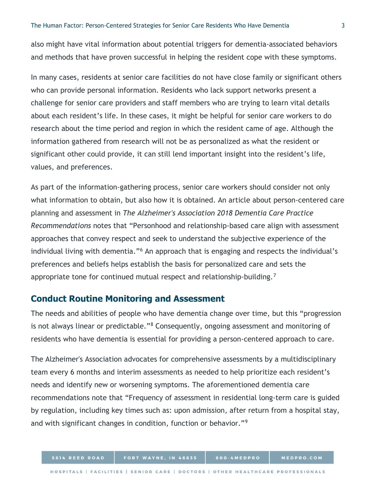also might have vital information about potential triggers for dementia-associated behaviors and methods that have proven successful in helping the resident cope with these symptoms.

In many cases, residents at senior care facilities do not have close family or significant others who can provide personal information. Residents who lack support networks present a challenge for senior care providers and staff members who are trying to learn vital details about each resident's life. In these cases, it might be helpful for senior care workers to do research about the time period and region in which the resident came of age. Although the information gathered from research will not be as personalized as what the resident or significant other could provide, it can still lend important insight into the resident's life, values, and preferences.

As part of the information-gathering process, senior care workers should consider not only what information to obtain, but also how it is obtained. An article about person-centered care planning and assessment in *The Alzheimer's Association 2018 Dementia Care Practice Recommendations* notes that "Personhood and relationship-based care align with assessment approaches that convey respect and seek to understand the subjective experience of the individual living with dementia."<sup>[6](#page-13-3)</sup> An approach that is engaging and respects the individual's preferences and beliefs helps establish the basis for personalized care and sets the appropriate tone for continued mutual respect and relationship-building.[7](#page-13-4)

#### **Conduct Routine Monitoring and Assessment**

The needs and abilities of people who have dementia change over time, but this "progression is not always linear or predictable."[8](#page-13-5) Consequently, ongoing assessment and monitoring of residents who have dementia is essential for providing a person-centered approach to care.

The Alzheimer's Association advocates for comprehensive assessments by a multidisciplinary team every 6 months and interim assessments as needed to help prioritize each resident's needs and identify new or worsening symptoms. The aforementioned dementia care recommendations note that "Frequency of assessment in residential long-term care is guided by regulation, including key times such as: upon admission, after return from a hospital stay, and with significant changes in condition, function or behavior."[9](#page-13-6)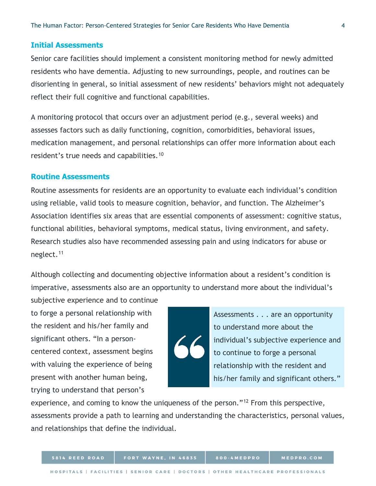#### **Initial Assessments**

Senior care facilities should implement a consistent monitoring method for newly admitted residents who have dementia. Adjusting to new surroundings, people, and routines can be disorienting in general, so initial assessment of new residents' behaviors might not adequately reflect their full cognitive and functional capabilities.

A monitoring protocol that occurs over an adjustment period (e.g., several weeks) and assesses factors such as daily functioning, cognition, comorbidities, behavioral issues, medication management, and personal relationships can offer more information about each resident's true needs and capabilities.<sup>[10](#page-13-7)</sup>

#### **Routine Assessments**

Routine assessments for residents are an opportunity to evaluate each individual's condition using reliable, valid tools to measure cognition, behavior, and function. The Alzheimer's Association identifies six areas that are essential components of assessment: cognitive status, functional abilities, behavioral symptoms, medical status, living environment, and safety. Research studies also have recommended assessing pain and using indicators for abuse or neglect.[11](#page-13-8)

Although collecting and documenting objective information about a resident's condition is imperative, assessments also are an opportunity to understand more about the individual's

subjective experience and to continue to forge a personal relationship with the resident and his/her family and significant others. "In a personcentered context, assessment begins with valuing the experience of being present with another human being, trying to understand that person's

5814 REED ROAD

Assessments . . . are an opportunity to understand more about the individual's subjective experience and to continue to forge a personal relationship with the resident and his/her family and significant others."

MEDPRO.COM

experience, and coming to know the uniqueness of the person."<sup>[12](#page-13-9)</sup> From this perspective, assessments provide a path to learning and understanding the characteristics, personal values, and relationships that define the individual.

800-4MEDPRO

FORT WAYNE, IN 46835

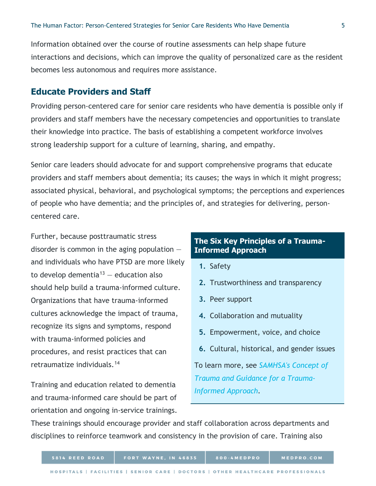Information obtained over the course of routine assessments can help shape future interactions and decisions, which can improve the quality of personalized care as the resident becomes less autonomous and requires more assistance.

### **Educate Providers and Staff**

Providing person-centered care for senior care residents who have dementia is possible only if providers and staff members have the necessary competencies and opportunities to translate their knowledge into practice. The basis of establishing a competent workforce involves strong leadership support for a culture of learning, sharing, and empathy.

Senior care leaders should advocate for and support comprehensive programs that educate providers and staff members about dementia; its causes; the ways in which it might progress; associated physical, behavioral, and psychological symptoms; the perceptions and experiences of people who have dementia; and the principles of, and strategies for delivering, personcentered care.

Further, because posttraumatic stress disorder is common in the aging population  $$ and individuals who have PTSD are more likely to develop dementia<sup>[13](#page-13-10)</sup>  $-$  education also should help build a trauma-informed culture. Organizations that have trauma-informed cultures acknowledge the impact of trauma, recognize its signs and symptoms, respond with trauma-informed policies and procedures, and resist practices that can retraumatize individuals.[14](#page-13-11)

Training and education related to dementia and trauma-informed care should be part of orientation and ongoing in-service trainings.

## **The Six Key Principles of a Trauma-Informed Approach**

- **1.** Safety
- **2.** Trustworthiness and transparency
- **3.** Peer support
- **4.** Collaboration and mutuality
- **5.** Empowerment, voice, and choice
- **6.** Cultural, historical, and gender issues

To learn more, see *[SAMHSA's Concept of](https://store.samhsa.gov/product/SAMHSA-s-Concept-of-Trauma-and-Guidance-for-a-Trauma-Informed-Approach/SMA14-4884.html)  [Trauma and Guidance for a Trauma-](https://store.samhsa.gov/product/SAMHSA-s-Concept-of-Trauma-and-Guidance-for-a-Trauma-Informed-Approach/SMA14-4884.html)[Informed Approach.](https://store.samhsa.gov/product/SAMHSA-s-Concept-of-Trauma-and-Guidance-for-a-Trauma-Informed-Approach/SMA14-4884.html)*

These trainings should encourage provider and staff collaboration across departments and disciplines to reinforce teamwork and consistency in the provision of care. Training also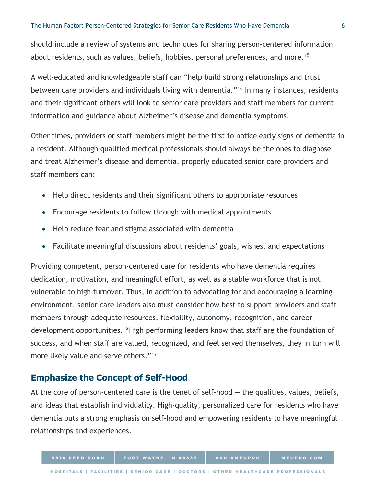should include a review of systems and techniques for sharing person-centered information about residents, such as values, beliefs, hobbies, personal preferences, and more.<sup>[15](#page-13-12)</sup>

A well-educated and knowledgeable staff can "help build strong relationships and trust between care providers and individuals living with dementia."[16](#page-13-13) In many instances, residents and their significant others will look to senior care providers and staff members for current information and guidance about Alzheimer's disease and dementia symptoms.

Other times, providers or staff members might be the first to notice early signs of dementia in a resident. Although qualified medical professionals should always be the ones to diagnose and treat Alzheimer's disease and dementia, properly educated senior care providers and staff members can:

- Help direct residents and their significant others to appropriate resources
- Encourage residents to follow through with medical appointments
- Help reduce fear and stigma associated with dementia
- Facilitate meaningful discussions about residents' goals, wishes, and expectations

Providing competent, person-centered care for residents who have dementia requires dedication, motivation, and meaningful effort, as well as a stable workforce that is not vulnerable to high turnover. Thus, in addition to advocating for and encouraging a learning environment, senior care leaders also must consider how best to support providers and staff members through adequate resources, flexibility, autonomy, recognition, and career development opportunities. "High performing leaders know that staff are the foundation of success, and when staff are valued, recognized, and feel served themselves, they in turn will more likely value and serve others."<sup>[17](#page-13-14)</sup>

#### **Emphasize the Concept of Self-Hood**

At the core of person-centered care is the tenet of self-hood  $-$  the qualities, values, beliefs, and ideas that establish individuality. High-quality, personalized care for residents who have dementia puts a strong emphasis on self-hood and empowering residents to have meaningful relationships and experiences.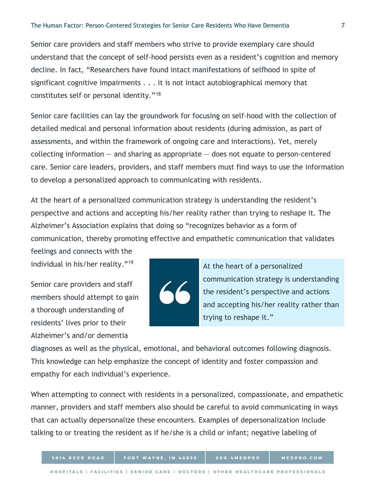Senior care providers and staff members who strive to provide exemplary care should understand that the concept of self-hood persists even as a resident's cognition and memory decline. In fact, "Researchers have found intact manifestations of selfhood in spite of significant cognitive impairments . . . it is not intact autobiographical memory that constitutes self or personal identity."[18](#page-13-15)

Senior care facilities can lay the groundwork for focusing on self-hood with the collection of detailed medical and personal information about residents (during admission, as part of assessments, and within the framework of ongoing care and interactions). Yet, merely collecting information  $-$  and sharing as appropriate  $-$  does not equate to person-centered care. Senior care leaders, providers, and staff members must find ways to use the information to develop a personalized approach to communicating with residents.

At the heart of a personalized communication strategy is understanding the resident's perspective and actions and accepting his/her reality rather than trying to reshape it. The Alzheimer's Association explains that doing so "recognizes behavior as a form of communication, thereby promoting effective and empathetic communication that validates

feelings and connects with the individual in his/her reality."[19](#page-13-16)

Senior care providers and staff members should attempt to gain a thorough understanding of residents' lives prior to their Alzheimer's and/or dementia



At the heart of a personalized communication strategy is understanding the resident's perspective and actions and accepting his/her reality rather than trying to reshape it."

diagnoses as well as the physical, emotional, and behavioral outcomes following diagnosis. This knowledge can help emphasize the concept of identity and foster compassion and empathy for each individual's experience.

When attempting to connect with residents in a personalized, compassionate, and empathetic manner, providers and staff members also should be careful to avoid communicating in ways that can actually depersonalize these encounters. Examples of depersonalization include talking to or treating the resident as if he/she is a child or infant; negative labeling of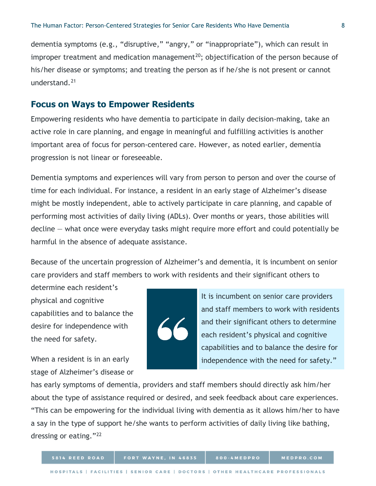dementia symptoms (e.g., "disruptive," "angry," or "inappropriate"), which can result in improper treatment and medication management<sup>20</sup>; objectification of the person because of his/her disease or symptoms; and treating the person as if he/she is not present or cannot understand.[21](#page-13-1)

#### **Focus on Ways to Empower Residents**

Empowering residents who have dementia to participate in daily decision-making, take an active role in care planning, and engage in meaningful and fulfilling activities is another important area of focus for person-centered care. However, as noted earlier, dementia progression is not linear or foreseeable.

Dementia symptoms and experiences will vary from person to person and over the course of time for each individual. For instance, a resident in an early stage of Alzheimer's disease might be mostly independent, able to actively participate in care planning, and capable of performing most activities of daily living (ADLs). Over months or years, those abilities will decline — what once were everyday tasks might require more effort and could potentially be harmful in the absence of adequate assistance.

Because of the uncertain progression of Alzheimer's and dementia, it is incumbent on senior care providers and staff members to work with residents and their significant others to

determine each resident's physical and cognitive capabilities and to balance the desire for independence with the need for safety.

When a resident is in an early stage of Alzheimer's disease or



It is incumbent on senior care providers and staff members to work with residents and their significant others to determine each resident's physical and cognitive capabilities and to balance the desire for independence with the need for safety."

has early symptoms of dementia, providers and staff members should directly ask him/her about the type of assistance required or desired, and seek feedback about care experiences. "This can be empowering for the individual living with dementia as it allows him/her to have a say in the type of support he/she wants to perform activities of daily living like bathing, dressing or eating."[22](#page-13-17)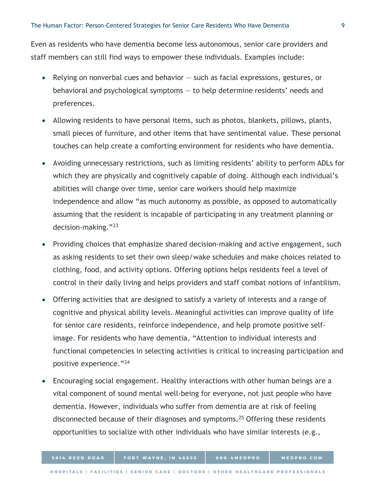Even as residents who have dementia become less autonomous, senior care providers and staff members can still find ways to empower these individuals. Examples include:

- Relying on nonverbal cues and behavior such as facial expressions, gestures, or behavioral and psychological symptoms — to help determine residents' needs and preferences.
- Allowing residents to have personal items, such as photos, blankets, pillows, plants, small pieces of furniture, and other items that have sentimental value. These personal touches can help create a comforting environment for residents who have dementia.
- Avoiding unnecessary restrictions, such as limiting residents' ability to perform ADLs for which they are physically and cognitively capable of doing. Although each individual's abilities will change over time, senior care workers should help maximize independence and allow "as much autonomy as possible, as opposed to automatically assuming that the resident is incapable of participating in any treatment planning or decision-making."[23](#page-13-18)
- Providing choices that emphasize shared decision-making and active engagement, such as asking residents to set their own sleep/wake schedules and make choices related to clothing, food, and activity options. Offering options helps residents feel a level of control in their daily living and helps providers and staff combat notions of infantilism.
- Offering activities that are designed to satisfy a variety of interests and a range of cognitive and physical ability levels. Meaningful activities can improve quality of life for senior care residents, reinforce independence, and help promote positive selfimage. For residents who have dementia, "Attention to individual interests and functional competencies in selecting activities is critical to increasing participation and positive experience."[24](#page-13-19)
- Encouraging social engagement. Healthy interactions with other human beings are a vital component of sound mental well-being for everyone, not just people who have dementia. However, individuals who suffer from dementia are at risk of feeling disconnected because of their diagnoses and symptoms.<sup>[25](#page-13-20)</sup> Offering these residents opportunities to socialize with other individuals who have similar interests (e.g.,

800-4MEDPRO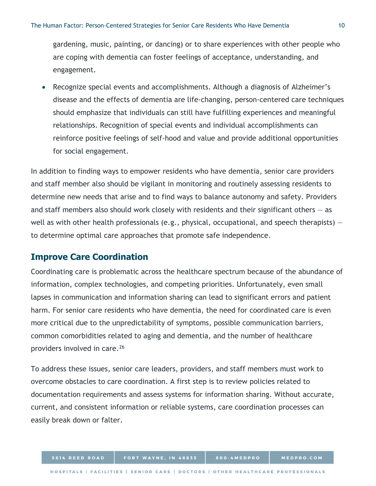gardening, music, painting, or dancing) or to share experiences with other people who are coping with dementia can foster feelings of acceptance, understanding, and engagement.

• Recognize special events and accomplishments. Although a diagnosis of Alzheimer's disease and the effects of dementia are life-changing, person-centered care techniques should emphasize that individuals can still have fulfilling experiences and meaningful relationships. Recognition of special events and individual accomplishments can reinforce positive feelings of self-hood and value and provide additional opportunities for social engagement.

In addition to finding ways to empower residents who have dementia, senior care providers and staff member also should be vigilant in monitoring and routinely assessing residents to determine new needs that arise and to find ways to balance autonomy and safety. Providers and staff members also should work closely with residents and their significant others  $-$  as well as with other health professionals (e.g., physical, occupational, and speech therapists) – to determine optimal care approaches that promote safe independence.

## **Improve Care Coordination**

Coordinating care is problematic across the healthcare spectrum because of the abundance of information, complex technologies, and competing priorities. Unfortunately, even small lapses in communication and information sharing can lead to significant errors and patient harm. For senior care residents who have dementia, the need for coordinated care is even more critical due to the unpredictability of symptoms, possible communication barriers, common comorbidities related to aging and dementia, and the number of healthcare providers involved in care.[26](#page-13-21)

To address these issues, senior care leaders, providers, and staff members must work to overcome obstacles to care coordination. A first step is to review policies related to documentation requirements and assess systems for information sharing. Without accurate, current, and consistent information or reliable systems, care coordination processes can easily break down or falter.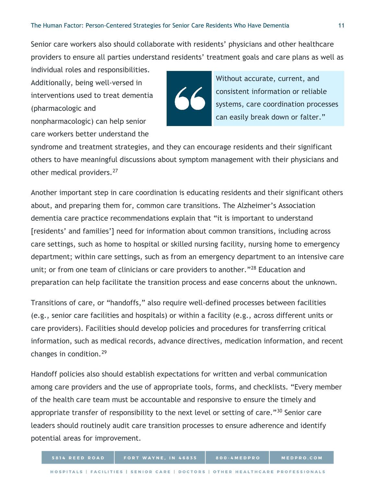Senior care workers also should collaborate with residents' physicians and other healthcare providers to ensure all parties understand residents' treatment goals and care plans as well as

individual roles and responsibilities. Additionally, being well-versed in interventions used to treat dementia (pharmacologic and nonpharmacologic) can help senior care workers better understand the

Without accurate, current, and consistent information or reliable systems, care coordination processes can easily break down or falter."

syndrome and treatment strategies, and they can encourage residents and their significant others to have meaningful discussions about symptom management with their physicians and other medical providers.<sup>[27](#page-13-22)</sup>

Another important step in care coordination is educating residents and their significant others about, and preparing them for, common care transitions. The Alzheimer's Association dementia care practice recommendations explain that "it is important to understand [residents' and families'] need for information about common transitions, including across care settings, such as home to hospital or skilled nursing facility, nursing home to emergency department; within care settings, such as from an emergency department to an intensive care unit; or from one team of clinicians or care providers to another."<sup>[28](#page-13-23)</sup> Education and preparation can help facilitate the transition process and ease concerns about the unknown.

Transitions of care, or "handoffs," also require well-defined processes between facilities (e.g., senior care facilities and hospitals) or within a facility (e.g., across different units or care providers). Facilities should develop policies and procedures for transferring critical information, such as medical records, advance directives, medication information, and recent changes in condition.[29](#page-13-24)

Handoff policies also should establish expectations for written and verbal communication among care providers and the use of appropriate tools, forms, and checklists. "Every member of the health care team must be accountable and responsive to ensure the timely and appropriate transfer of responsibility to the next level or setting of care."<sup>[30](#page-13-25)</sup> Senior care leaders should routinely audit care transition processes to ensure adherence and identify potential areas for improvement.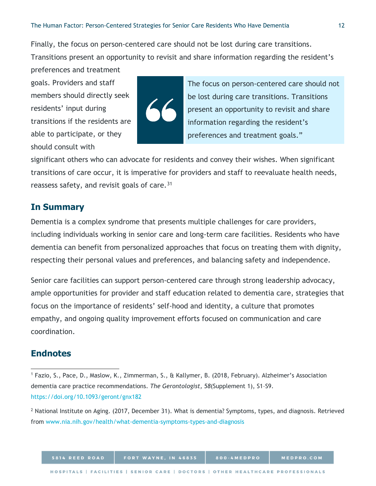Finally, the focus on person-centered care should not be lost during care transitions.

Transitions present an opportunity to revisit and share information regarding the resident's preferences and treatment

goals. Providers and staff members should directly seek residents' input during transitions if the residents are able to participate, or they should consult with



The focus on person-centered care should not be lost during care transitions. Transitions present an opportunity to revisit and share information regarding the resident's preferences and treatment goals."

significant others who can advocate for residents and convey their wishes. When significant transitions of care occur, it is imperative for providers and staff to reevaluate health needs, reassess safety, and revisit goals of care.<sup>[31](#page-13-26)</sup>

# **In Summary**

Dementia is a complex syndrome that presents multiple challenges for care providers, including individuals working in senior care and long-term care facilities. Residents who have dementia can benefit from personalized approaches that focus on treating them with dignity, respecting their personal values and preferences, and balancing safety and independence.

Senior care facilities can support person-centered care through strong leadership advocacy, ample opportunities for provider and staff education related to dementia care, strategies that focus on the importance of residents' self-hood and identity, a culture that promotes empathy, and ongoing quality improvement efforts focused on communication and care coordination.

## **Endnotes**

<sup>1</sup> Fazio, S., Pace, D., Maslow, K., Zimmerman, S., & Kallymer, B. (2018, February). Alzheimer's Association dementia care practice recommendations. *The Gerontologist, 58*(Supplement 1), S1–S9. <https://doi.org/10.1093/geront/gnx182>  $\overline{a}$ 

<sup>&</sup>lt;sup>2</sup> National Institute on Aging. (2017, December 31). What is dementia? Symptoms, types, and diagnosis. Retrieved from [www.nia.nih.gov/health/what-dementia-symptoms-types-and-diagnosis](http://www.nia.nih.gov/health/what-dementia-symptoms-types-and-diagnosis)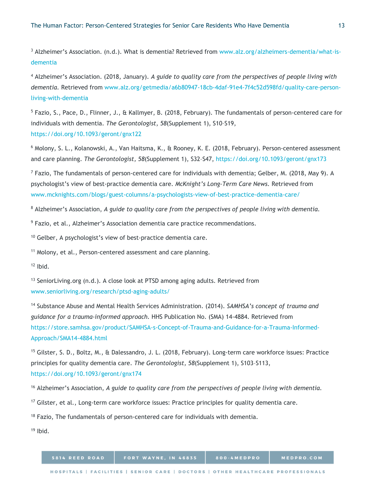<sup>3</sup> Alzheimer's Association. (n.d.). What is dementia? Retrieved from [www.alz.org/alzheimers-dementia/what-is](http://www.alz.org/alzheimers-dementia/what-is-dementia)[dementia](http://www.alz.org/alzheimers-dementia/what-is-dementia)

<sup>4</sup> Alzheimer's Association. (2018, January). *A guide to quality care from the perspectives of people living with dementia.* Retrieved from [www.alz.org/getmedia/a6b80947-18cb-4daf-91e4-7f4c52d598fd/quality-care-person](http://www.alz.org/getmedia/a6b80947-18cb-4daf-91e4-7f4c52d598fd/quality-care-person-living-with-dementia)[living-with-dementia](http://www.alz.org/getmedia/a6b80947-18cb-4daf-91e4-7f4c52d598fd/quality-care-person-living-with-dementia)

<sup>5</sup> Fazio, S., Pace, D., Flinner, J., & Kallmyer, B. (2018, February). The fundamentals of person-centered care for individuals with dementia. *The Gerontologist*, *58*(Supplement 1), S10–S19, <https://doi.org/10.1093/geront/gnx122>

<sup>6</sup> Molony, S. L., Kolanowski, A., Van Haitsma, K., & Rooney, K. E. (2018, February). Person-centered assessment and care planning. *The Gerontologist, 58*(Supplement 1), S32–S47, <https://doi.org/10.1093/geront/gnx173>

 $^7$  Fazio, The fundamentals of person-centered care for individuals with dementia; Gelber, M. (2018, May 9). A psychologist's view of best-practice dementia care. *McKnight's Long-Term Care News.* Retrieved from [www.mcknights.com/blogs/guest-columns/a-psychologists-view-of-best-practice-dementia-care/](http://www.mcknights.com/blogs/guest-columns/a-psychologists-view-of-best-practice-dementia-care/)

<sup>8</sup> Alzheimer's Association, *A guide to quality care from the perspectives of people living with dementia.*

<sup>9</sup> Fazio, et al., Alzheimer's Association dementia care practice recommendations.

<sup>10</sup> Gelber, A psychologist's view of best-practice dementia care.

<sup>11</sup> Molony, et al., Person-centered assessment and care planning.

 $12$  lbid.

<sup>13</sup> SeniorLiving.org (n.d.). A close look at PTSD among aging adults. Retrieved from [www.seniorliving.org/research/ptsd-aging-adults/](http://www.seniorliving.org/research/ptsd-aging-adults/)

<sup>14</sup> Substance Abuse and Mental Health Services Administration. (2014). *SAMHSA's concept of trauma and guidance for a trauma-informed approach.* HHS Publication No. (SMA) 14-4884. Retrieved from [https://store.samhsa.gov/product/SAMHSA-s-Concept-of-Trauma-and-Guidance-for-a-Trauma-Informed-](https://store.samhsa.gov/product/SAMHSA-s-Concept-of-Trauma-and-Guidance-for-a-Trauma-Informed-Approach/SMA14-4884.html)[Approach/SMA14-4884.html](https://store.samhsa.gov/product/SAMHSA-s-Concept-of-Trauma-and-Guidance-for-a-Trauma-Informed-Approach/SMA14-4884.html)

<sup>15</sup> Gilster, S. D., Boltz, M., & Dalessandro, J. L. (2018, February). Long-term care workforce issues: Practice principles for quality dementia care. *The Gerontologist, 58*(Supplement 1), S103–S113, <https://doi.org/10.1093/geront/gnx174>

<span id="page-12-1"></span><sup>16</sup> Alzheimer's Association, *A guide to quality care from the perspectives of people living with dementia.*

<sup>17</sup> Gilster, et al., Long-term care workforce issues: Practice principles for quality dementia care.

<span id="page-12-0"></span> $18$  Fazio, The fundamentals of person-centered care for individuals with dementia.

 $19$  Ibid.

| 5814 REED ROAD | <b>FORT WAYNE, IN 46835</b>                                                     | 800-4MEDPRO | <b>MEDPRO.COM</b> |
|----------------|---------------------------------------------------------------------------------|-------------|-------------------|
|                | HOSPITALS   FACILITIES   SENIOR CARE   DOCTORS   OTHER HEALTHCARE PROFESSIONALS |             |                   |